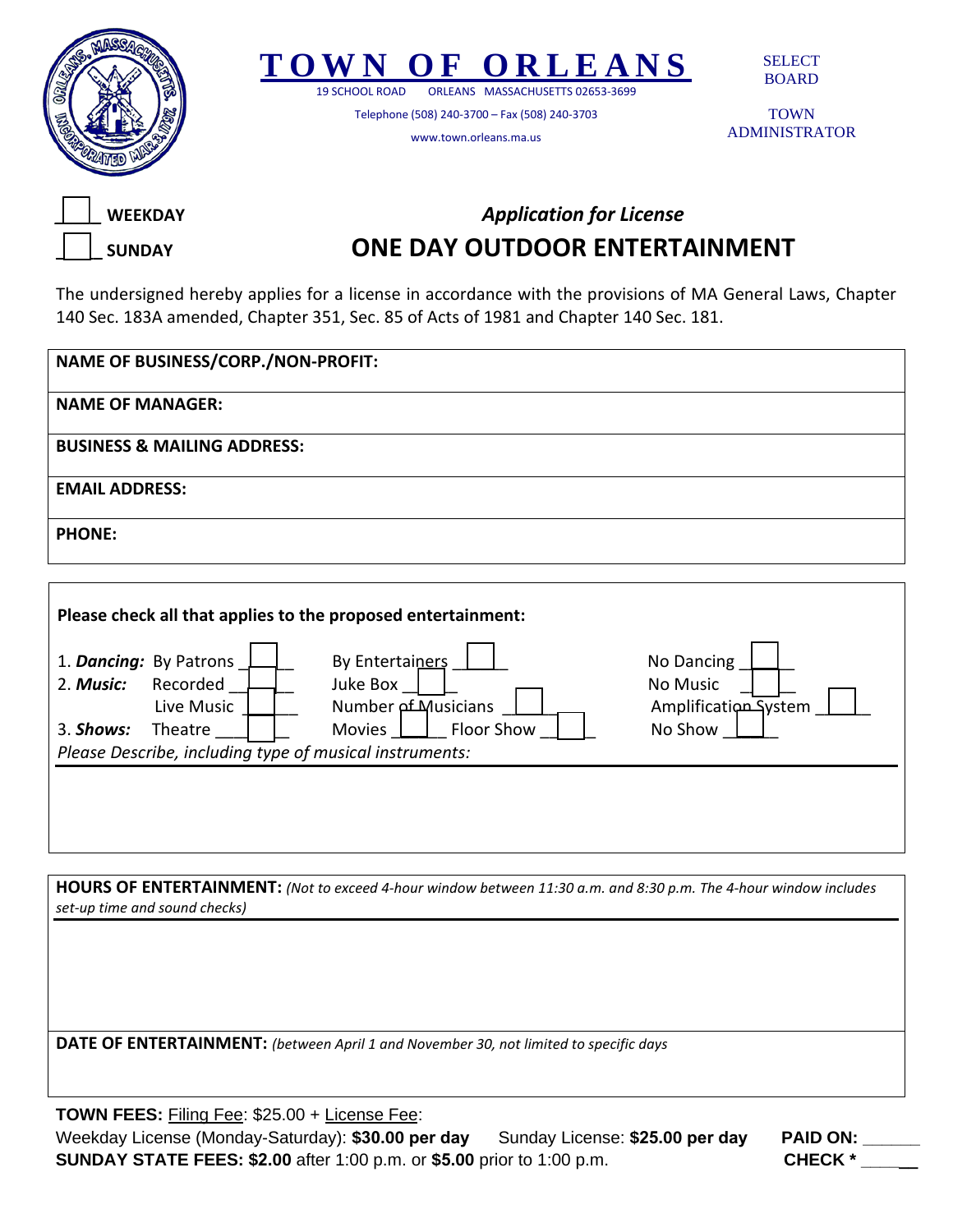



19 SCHOOL ROAD ORLEANS MASSACHUSETTS 02653-3699

Telephone (508) 240-3700 – Fax (508) 240-3703

www.town.orleans.ma.us

SELECT BOARD

TOWN ADMINISTRATOR



## *Application for License*  **ONE DAY OUTDOOR ENTERTAINMENT**

The undersigned hereby applies for a license in accordance with the provisions of MA General Laws, Chapter 140 Sec. 183A amended, Chapter 351, Sec. 85 of Acts of 1981 and Chapter 140 Sec. 181.

| <b>NAME OF BUSINESS/CORP./NON-PROFIT:</b> |
|-------------------------------------------|
| <b>NAME OF MANAGER:</b>                   |
| <b>BUSINESS &amp; MAILING ADDRESS:</b>    |
| <b>EMAIL ADDRESS:</b>                     |
| <b>PHONE:</b>                             |

| 1. Dancing: By Patrons<br>2. Music:                     | Recorded<br>Live Music | By Entertainers<br>Juke Box<br><b>Number of Musicians</b> | No Dancing<br>No Music<br>Amplification System |  |
|---------------------------------------------------------|------------------------|-----------------------------------------------------------|------------------------------------------------|--|
| 3. Shows:                                               | Theatre                | Floor Show<br><b>Movies</b>                               | No Show                                        |  |
| Please Describe, including type of musical instruments: |                        |                                                           |                                                |  |
|                                                         |                        |                                                           |                                                |  |

**HOURS OF ENTERTAINMENT:** *(Not to exceed 4-hour window between 11:30 a.m. and 8:30 p.m. The 4-hour window includes set-up time and sound checks)* 

**DATE OF ENTERTAINMENT:** *(between April 1 and November 30, not limited to specific days*

**TOWN FEES:** Filing Fee: \$25.00 + License Fee: Weekday License (Monday-Saturday): **\$30.00 per day** Sunday License: **\$25.00 per day PAID ON: \_\_\_\_\_\_ SUNDAY STATE FEES: \$2.00** after 1:00 p.m. or **\$5.00** prior to 1:00 p.m. **CHECK \* \_\_\_\_\_\_**